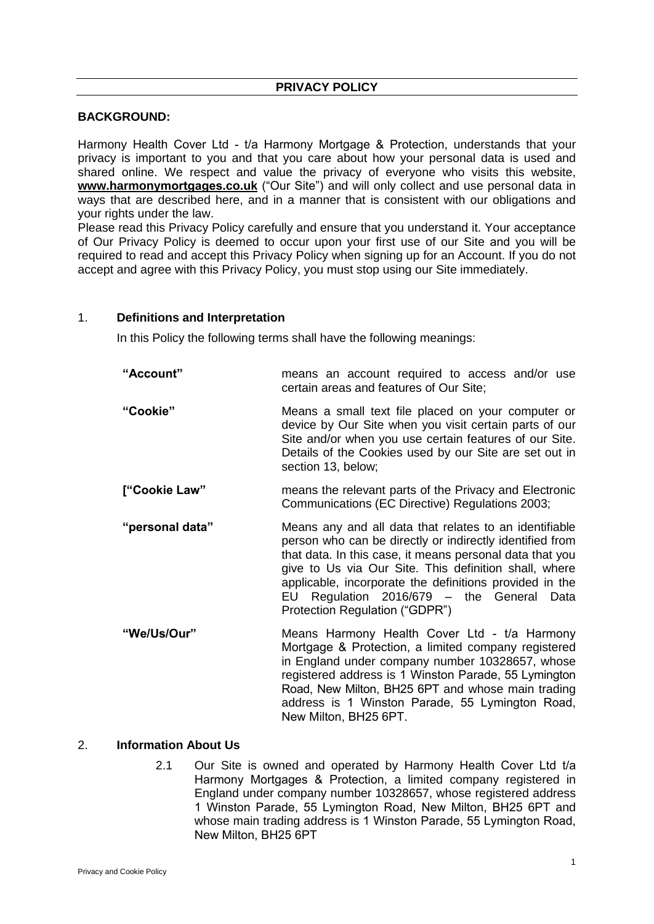## **PRIVACY POLICY**

## **BACKGROUND:**

Harmony Health Cover Ltd - t/a Harmony Mortgage & Protection, understands that your privacy is important to you and that you care about how your personal data is used and shared online. We respect and value the privacy of everyone who visits this website, **www.harmonymortgages.co.uk** ("Our Site") and will only collect and use personal data in ways that are described here, and in a manner that is consistent with our obligations and your rights under the law.

Please read this Privacy Policy carefully and ensure that you understand it. Your acceptance of Our Privacy Policy is deemed to occur upon your first use of our Site and you will be required to read and accept this Privacy Policy when signing up for an Account. If you do not accept and agree with this Privacy Policy, you must stop using our Site immediately.

### 1. **Definitions and Interpretation**

In this Policy the following terms shall have the following meanings:

| "Account"       | means an account required to access and/or use<br>certain areas and features of Our Site;                                                                                                                                                                                                                                                                                         |  |  |  |
|-----------------|-----------------------------------------------------------------------------------------------------------------------------------------------------------------------------------------------------------------------------------------------------------------------------------------------------------------------------------------------------------------------------------|--|--|--|
| "Cookie"        | Means a small text file placed on your computer or<br>device by Our Site when you visit certain parts of our<br>Site and/or when you use certain features of our Site.<br>Details of the Cookies used by our Site are set out in<br>section 13, below;                                                                                                                            |  |  |  |
| ["Cookie Law"   | means the relevant parts of the Privacy and Electronic<br>Communications (EC Directive) Regulations 2003;                                                                                                                                                                                                                                                                         |  |  |  |
| "personal data" | Means any and all data that relates to an identifiable<br>person who can be directly or indirectly identified from<br>that data. In this case, it means personal data that you<br>give to Us via Our Site. This definition shall, where<br>applicable, incorporate the definitions provided in the<br>EU Regulation 2016/679 - the General Data<br>Protection Regulation ("GDPR") |  |  |  |
| "We/Us/Our"     | Means Harmony Health Cover Ltd - t/a Harmony<br>Mortgage & Protection, a limited company registered<br>in England under company number 10328657, whose<br>registered address is 1 Winston Parade, 55 Lymington<br>Road, New Milton, BH25 6PT and whose main trading                                                                                                               |  |  |  |

## 2. **Information About Us**

2.1 Our Site is owned and operated by Harmony Health Cover Ltd t/a Harmony Mortgages & Protection, a limited company registered in England under company number 10328657, whose registered address 1 Winston Parade, 55 Lymington Road, New Milton, BH25 6PT and whose main trading address is 1 Winston Parade, 55 Lymington Road, New Milton, BH25 6PT

New Milton, BH25 6PT.

address is 1 Winston Parade, 55 Lymington Road,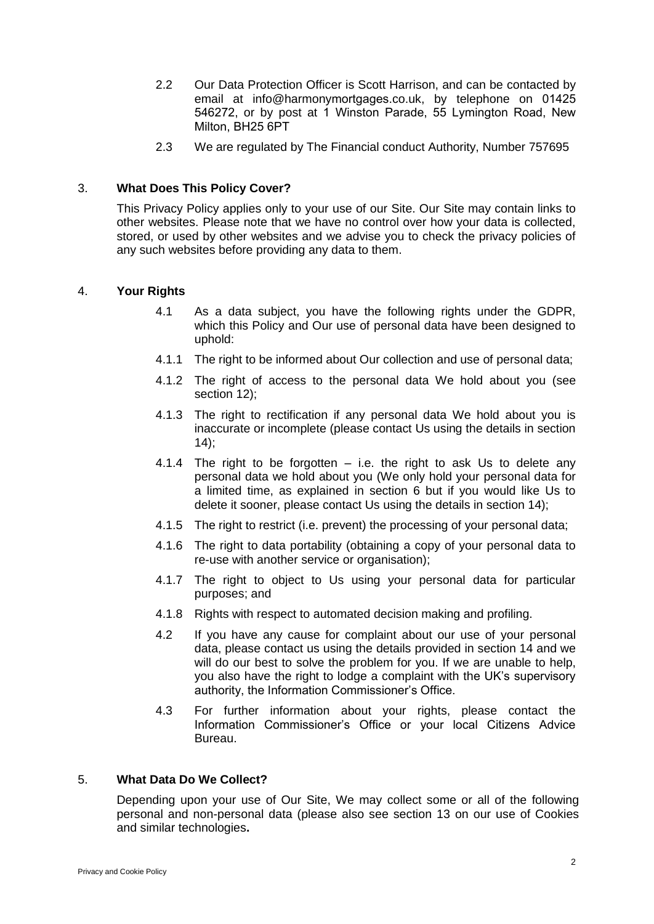- 2.2 Our Data Protection Officer is Scott Harrison, and can be contacted by email at info@harmonymortgages.co.uk, by telephone on 01425 546272, or by post at 1 Winston Parade, 55 Lymington Road, New Milton, BH25 6PT
- 2.3 We are regulated by The Financial conduct Authority, Number 757695

# 3. **What Does This Policy Cover?**

This Privacy Policy applies only to your use of our Site. Our Site may contain links to other websites. Please note that we have no control over how your data is collected, stored, or used by other websites and we advise you to check the privacy policies of any such websites before providing any data to them.

# 4. **Your Rights**

- 4.1 As a data subject, you have the following rights under the GDPR, which this Policy and Our use of personal data have been designed to uphold:
- 4.1.1 The right to be informed about Our collection and use of personal data;
- 4.1.2 The right of access to the personal data We hold about you (see section 12):
- 4.1.3 The right to rectification if any personal data We hold about you is inaccurate or incomplete (please contact Us using the details in section  $(14)$ ;
- 4.1.4 The right to be forgotten  $-$  i.e. the right to ask Us to delete any personal data we hold about you (We only hold your personal data for a limited time, as explained in section 6 but if you would like Us to delete it sooner, please contact Us using the details in section 14);
- 4.1.5 The right to restrict (i.e. prevent) the processing of your personal data;
- 4.1.6 The right to data portability (obtaining a copy of your personal data to re-use with another service or organisation);
- 4.1.7 The right to object to Us using your personal data for particular purposes; and
- 4.1.8 Rights with respect to automated decision making and profiling.
- 4.2 If you have any cause for complaint about our use of your personal data, please contact us using the details provided in section 14 and we will do our best to solve the problem for you. If we are unable to help, you also have the right to lodge a complaint with the UK's supervisory authority, the Information Commissioner's Office.
- 4.3 For further information about your rights, please contact the Information Commissioner's Office or your local Citizens Advice Bureau.

## 5. **What Data Do We Collect?**

Depending upon your use of Our Site, We may collect some or all of the following personal and non-personal data (please also see section 13 on our use of Cookies and similar technologies**.**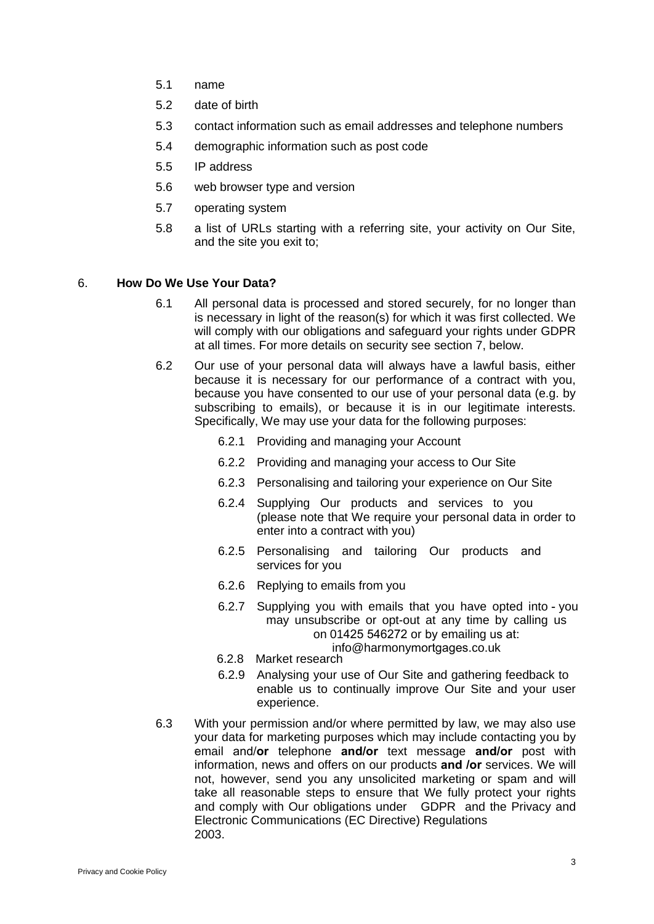- 5.1 name
- 5.2 date of birth
- 5.3 contact information such as email addresses and telephone numbers
- 5.4 demographic information such as post code
- 5.5 IP address
- 5.6 web browser type and version
- 5.7 operating system
- 5.8 a list of URLs starting with a referring site, your activity on Our Site, and the site you exit to;

## 6. **How Do We Use Your Data?**

- 6.1 All personal data is processed and stored securely, for no longer than is necessary in light of the reason(s) for which it was first collected. We will comply with our obligations and safeguard your rights under GDPR at all times. For more details on security see section 7, below.
- 6.2 Our use of your personal data will always have a lawful basis, either because it is necessary for our performance of a contract with you, because you have consented to our use of your personal data (e.g. by subscribing to emails), or because it is in our legitimate interests. Specifically, We may use your data for the following purposes:
	- 6.2.1 Providing and managing your Account
	- 6.2.2 Providing and managing your access to Our Site
	- 6.2.3 Personalising and tailoring your experience on Our Site
	- 6.2.4 Supplying Our products and services to you (please note that We require your personal data in order to enter into a contract with you)
	- 6.2.5 Personalising and tailoring Our products and services for you
	- 6.2.6 Replying to emails from you
	- 6.2.7 Supplying you with emails that you have opted into you may unsubscribe or opt-out at any time by calling us on 01425 546272 or by emailing us at: info@harmonymortgages.co.uk
	- 6.2.8 Market research
	- 6.2.9 Analysing your use of Our Site and gathering feedback to enable us to continually improve Our Site and your user experience.
- 6.3 With your permission and/or where permitted by law, we may also use your data for marketing purposes which may include contacting you by email and/**or** telephone **and/or** text message **and/or** post with information, news and offers on our products **and /or** services. We will not, however, send you any unsolicited marketing or spam and will take all reasonable steps to ensure that We fully protect your rights and comply with Our obligations under GDPR and the Privacy and Electronic Communications (EC Directive) Regulations 2003.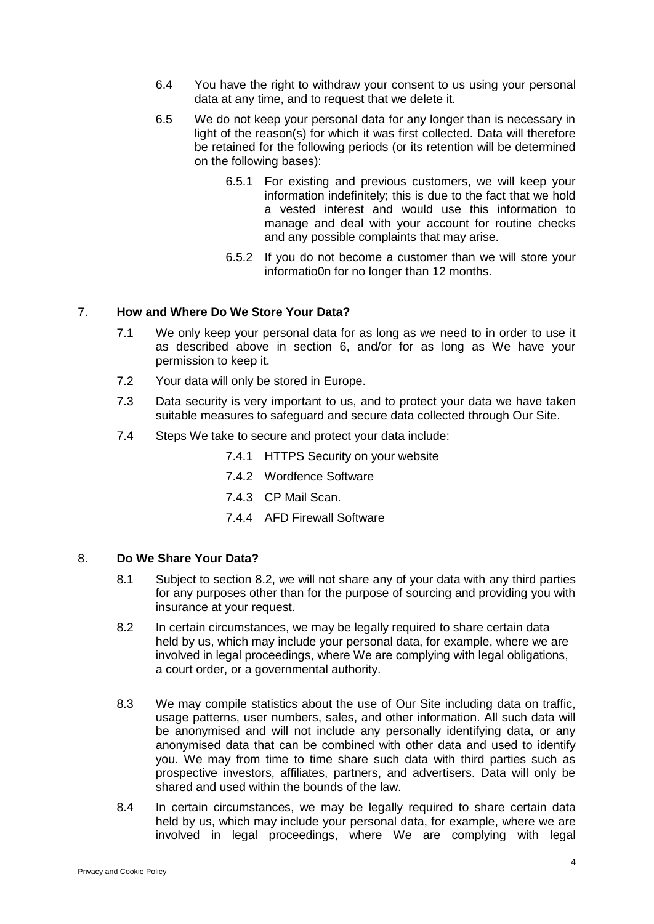- 6.4 You have the right to withdraw your consent to us using your personal data at any time, and to request that we delete it.
- 6.5 We do not keep your personal data for any longer than is necessary in light of the reason(s) for which it was first collected. Data will therefore be retained for the following periods (or its retention will be determined on the following bases):
	- 6.5.1 For existing and previous customers, we will keep your information indefinitely; this is due to the fact that we hold a vested interest and would use this information to manage and deal with your account for routine checks and any possible complaints that may arise.
	- 6.5.2 If you do not become a customer than we will store your informatio0n for no longer than 12 months.

## 7. **How and Where Do We Store Your Data?**

- 7.1 We only keep your personal data for as long as we need to in order to use it as described above in section 6, and/or for as long as We have your permission to keep it.
- 7.2 Your data will only be stored in Europe.
- 7.3 Data security is very important to us, and to protect your data we have taken suitable measures to safeguard and secure data collected through Our Site.
- 7.4 Steps We take to secure and protect your data include:
	- 7.4.1 HTTPS Security on your website
	- 7.4.2 Wordfence Software
	- 7.4.3 CP Mail Scan.
	- 7.4.4 AFD Firewall Software

#### 8. **Do We Share Your Data?**

- 8.1 Subject to section 8.2, we will not share any of your data with any third parties for any purposes other than for the purpose of sourcing and providing you with insurance at your request.
- 8.2 In certain circumstances, we may be legally required to share certain data held by us, which may include your personal data, for example, where we are involved in legal proceedings, where We are complying with legal obligations, a court order, or a governmental authority.
- 8.3 We may compile statistics about the use of Our Site including data on traffic, usage patterns, user numbers, sales, and other information. All such data will be anonymised and will not include any personally identifying data, or any anonymised data that can be combined with other data and used to identify you. We may from time to time share such data with third parties such as prospective investors, affiliates, partners, and advertisers. Data will only be shared and used within the bounds of the law.
- 8.4 In certain circumstances, we may be legally required to share certain data held by us, which may include your personal data, for example, where we are involved in legal proceedings, where We are complying with legal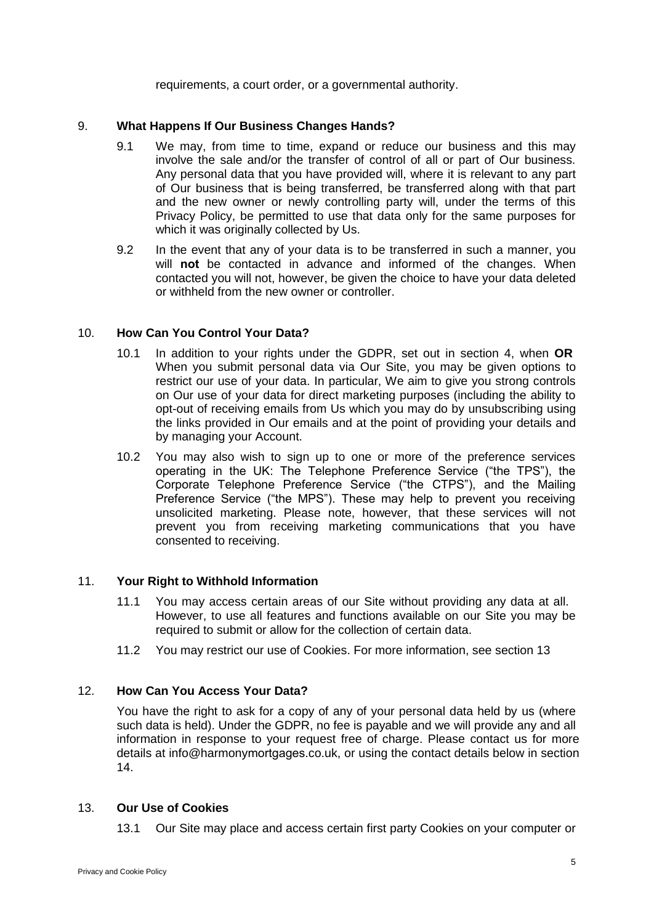requirements, a court order, or a governmental authority.

### 9. **What Happens If Our Business Changes Hands?**

- 9.1 We may, from time to time, expand or reduce our business and this may involve the sale and/or the transfer of control of all or part of Our business. Any personal data that you have provided will, where it is relevant to any part of Our business that is being transferred, be transferred along with that part and the new owner or newly controlling party will, under the terms of this Privacy Policy, be permitted to use that data only for the same purposes for which it was originally collected by Us.
- 9.2 In the event that any of your data is to be transferred in such a manner, you will **not** be contacted in advance and informed of the changes. When contacted you will not, however, be given the choice to have your data deleted or withheld from the new owner or controller.

### 10. **How Can You Control Your Data?**

- 10.1 In addition to your rights under the GDPR, set out in section 4, when **OR** When you submit personal data via Our Site, you may be given options to restrict our use of your data. In particular, We aim to give you strong controls on Our use of your data for direct marketing purposes (including the ability to opt-out of receiving emails from Us which you may do by unsubscribing using the links provided in Our emails and at the point of providing your details and by managing your Account.
- 10.2 You may also wish to sign up to one or more of the preference services operating in the UK: The Telephone Preference Service ("the TPS"), the Corporate Telephone Preference Service ("the CTPS"), and the Mailing Preference Service ("the MPS"). These may help to prevent you receiving unsolicited marketing. Please note, however, that these services will not prevent you from receiving marketing communications that you have consented to receiving.

## 11. **Your Right to Withhold Information**

- 11.1 You may access certain areas of our Site without providing any data at all. However, to use all features and functions available on our Site you may be required to submit or allow for the collection of certain data.
- 11.2 You may restrict our use of Cookies. For more information, see section 13

## 12. **How Can You Access Your Data?**

You have the right to ask for a copy of any of your personal data held by us (where such data is held). Under the GDPR, no fee is payable and we will provide any and all information in response to your request free of charge. Please contact us for more details at info@harmonymortgages.co.uk, or using the contact details below in section 14.

#### 13. **Our Use of Cookies**

13.1 Our Site may place and access certain first party Cookies on your computer or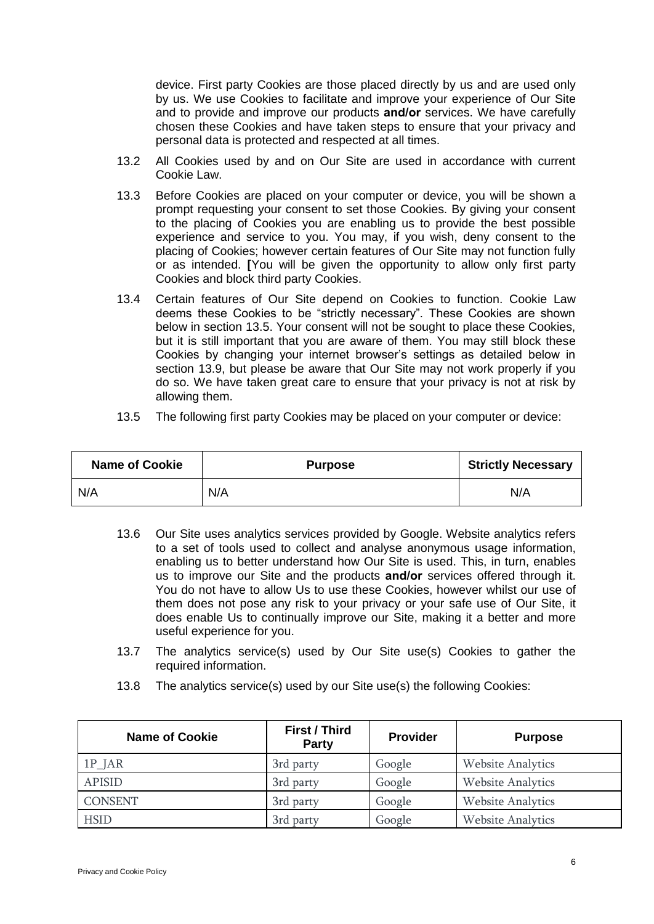device. First party Cookies are those placed directly by us and are used only by us. We use Cookies to facilitate and improve your experience of Our Site and to provide and improve our products **and/or** services. We have carefully chosen these Cookies and have taken steps to ensure that your privacy and personal data is protected and respected at all times.

- 13.2 All Cookies used by and on Our Site are used in accordance with current Cookie Law.
- 13.3 Before Cookies are placed on your computer or device, you will be shown a prompt requesting your consent to set those Cookies. By giving your consent to the placing of Cookies you are enabling us to provide the best possible experience and service to you. You may, if you wish, deny consent to the placing of Cookies; however certain features of Our Site may not function fully or as intended. **[**You will be given the opportunity to allow only first party Cookies and block third party Cookies.
- 13.4 Certain features of Our Site depend on Cookies to function. Cookie Law deems these Cookies to be "strictly necessary". These Cookies are shown below in section 13.5. Your consent will not be sought to place these Cookies, but it is still important that you are aware of them. You may still block these Cookies by changing your internet browser's settings as detailed below in section 13.9, but please be aware that Our Site may not work properly if you do so. We have taken great care to ensure that your privacy is not at risk by allowing them.
- 13.5 The following first party Cookies may be placed on your computer or device:

| <b>Name of Cookie</b> | <b>Purpose</b> | <b>Strictly Necessary</b> |
|-----------------------|----------------|---------------------------|
| N/A                   | N/A            | N/A                       |

- 13.6 Our Site uses analytics services provided by Google. Website analytics refers to a set of tools used to collect and analyse anonymous usage information, enabling us to better understand how Our Site is used. This, in turn, enables us to improve our Site and the products **and/or** services offered through it. You do not have to allow Us to use these Cookies, however whilst our use of them does not pose any risk to your privacy or your safe use of Our Site, it does enable Us to continually improve our Site, making it a better and more useful experience for you.
- 13.7 The analytics service(s) used by Our Site use(s) Cookies to gather the required information.
- 13.8 The analytics service(s) used by our Site use(s) the following Cookies:

| <b>Name of Cookie</b> | <b>First / Third</b><br>Party | <b>Provider</b> | <b>Purpose</b>           |
|-----------------------|-------------------------------|-----------------|--------------------------|
| $1P$ JAR              | 3rd party                     | Google          | <b>Website Analytics</b> |
| <b>APISID</b>         | 3rd party                     | Google          | <b>Website Analytics</b> |
| <b>CONSENT</b>        | 3rd party                     | Google          | <b>Website Analytics</b> |
| <b>HSID</b>           | 3rd party                     | Google          | <b>Website Analytics</b> |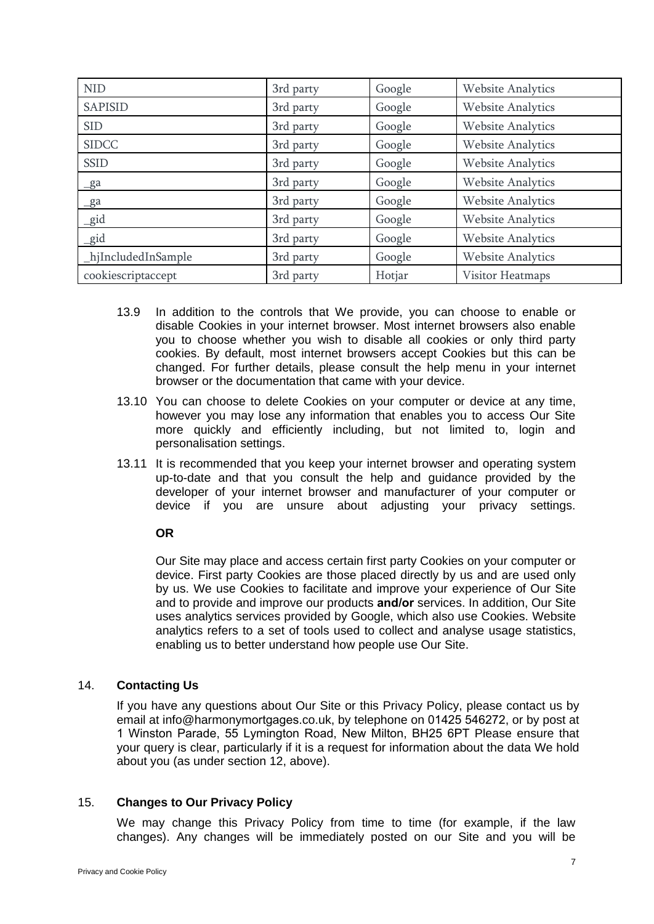| <b>NID</b>          | 3rd party | Google | <b>Website Analytics</b> |
|---------------------|-----------|--------|--------------------------|
| <b>SAPISID</b>      | 3rd party | Google | <b>Website Analytics</b> |
| <b>SID</b>          | 3rd party | Google | <b>Website Analytics</b> |
| <b>SIDCC</b>        | 3rd party | Google | <b>Website Analytics</b> |
| <b>SSID</b>         | 3rd party | Google | <b>Website Analytics</b> |
| $g_a$               | 3rd party | Google | <b>Website Analytics</b> |
| $g_a$               | 3rd party | Google | <b>Website Analytics</b> |
| gid                 | 3rd party | Google | <b>Website Analytics</b> |
| _gid                | 3rd party | Google | <b>Website Analytics</b> |
| _hjIncludedInSample | 3rd party | Google | <b>Website Analytics</b> |
| cookiescriptaccept  | 3rd party | Hotjar | Visitor Heatmaps         |

- 13.9 In addition to the controls that We provide, you can choose to enable or disable Cookies in your internet browser. Most internet browsers also enable you to choose whether you wish to disable all cookies or only third party cookies. By default, most internet browsers accept Cookies but this can be changed. For further details, please consult the help menu in your internet browser or the documentation that came with your device.
- 13.10 You can choose to delete Cookies on your computer or device at any time, however you may lose any information that enables you to access Our Site more quickly and efficiently including, but not limited to, login and personalisation settings.
- 13.11 It is recommended that you keep your internet browser and operating system up-to-date and that you consult the help and guidance provided by the developer of your internet browser and manufacturer of your computer or device if you are unsure about adjusting your privacy settings.

## **OR**

Our Site may place and access certain first party Cookies on your computer or device. First party Cookies are those placed directly by us and are used only by us. We use Cookies to facilitate and improve your experience of Our Site and to provide and improve our products **and/or** services. In addition, Our Site uses analytics services provided by Google, which also use Cookies. Website analytics refers to a set of tools used to collect and analyse usage statistics, enabling us to better understand how people use Our Site.

## 14. **Contacting Us**

If you have any questions about Our Site or this Privacy Policy, please contact us by email at info@harmonymortgages.co.uk, by telephone on 01425 546272, or by post at 1 Winston Parade, 55 Lymington Road, New Milton, BH25 6PT Please ensure that your query is clear, particularly if it is a request for information about the data We hold about you (as under section 12, above).

## 15. **Changes to Our Privacy Policy**

We may change this Privacy Policy from time to time (for example, if the law changes). Any changes will be immediately posted on our Site and you will be